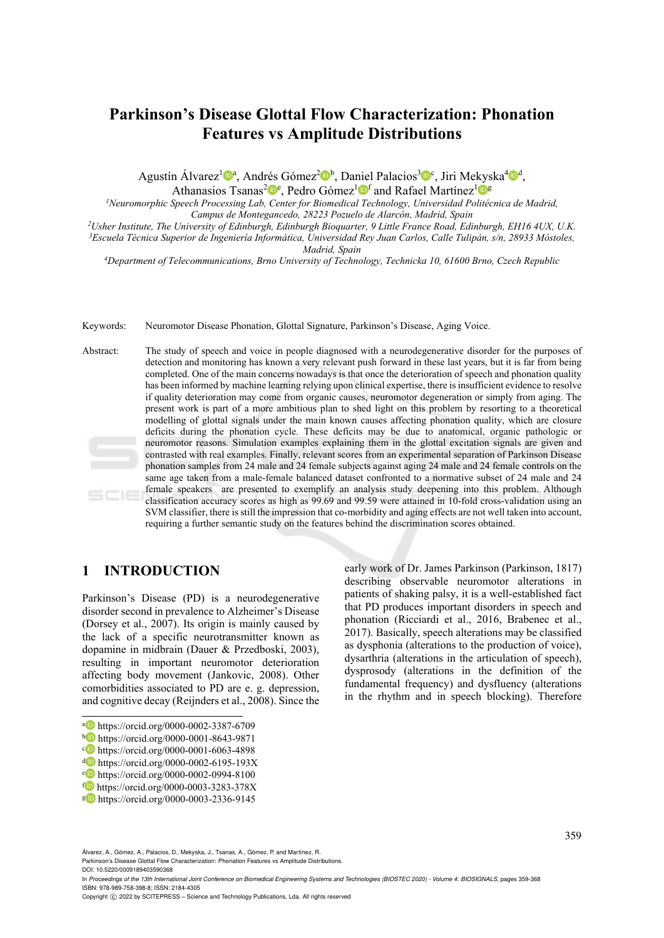# **Parkinson's Disease Glottal Flow Characterization: Phonation Features vs Amplitude Distributions**

Agustín Álvarez<sup>1</sup><sup>a</sup>, Andrés Gómez<sup>2</sup><sup>b,</sup> Daniel Palacios<sup>3</sup><sup>6</sup><sup>c</sup>, Jiri Mekyska<sup>4</sup><sup>0</sup>,

Athanasios Tsanas<sup>2</sup><sup> $\mathbf{p}^e$ </sup>, Pedro Gómez<sup>1</sup> $\mathbf{p}^f$  and Rafael Martínez<sup>1</sup> $\mathbf{p}^g$ 

*1Neuromorphic Speech Processing Lab, Center for Biomedical Technology, Universidad Politécnica de Madrid,* 

Campus de Montegancedo, 28223 Pozuelo de Alarcón, Madrid, Spain<br><sup>2</sup>Usher Institute, The University of Edinburgh, Edinburgh Bioquarter, 9 Little France Road, Edinburgh, EH16 4UX, U.K.<br><sup>3</sup>Escuela Técnica Superior de Ingenier

*Madrid, Spain 4Department of Telecommunications, Brno University of Technology, Technicka 10, 61600 Brno, Czech Republic* 

Keywords: Neuromotor Disease Phonation, Glottal Signature, Parkinson's Disease, Aging Voice.

Abstract: The study of speech and voice in people diagnosed with a neurodegenerative disorder for the purposes of detection and monitoring has known a very relevant push forward in these last years, but it is far from being completed. One of the main concerns nowadays is that once the deterioration of speech and phonation quality has been informed by machine learning relying upon clinical expertise, there is insufficient evidence to resolve if quality deterioration may come from organic causes, neuromotor degeneration or simply from aging. The present work is part of a more ambitious plan to shed light on this problem by resorting to a theoretical modelling of glottal signals under the main known causes affecting phonation quality, which are closure deficits during the phonation cycle. These deficits may be due to anatomical, organic pathologic or neuromotor reasons. Simulation examples explaining them in the glottal excitation signals are given and contrasted with real examples. Finally, relevant scores from an experimental separation of Parkinson Disease phonation samples from 24 male and 24 female subjects against aging 24 male and 24 female controls on the same age taken from a male-female balanced dataset confronted to a normative subset of 24 male and 24 female speakers are presented to exemplify an analysis study deepening into this problem. Although classification accuracy scores as high as 99.69 and 99.59 were attained in 10-fold cross-validation using an SVM classifier, there is still the impression that co-morbidity and aging effects are not well taken into account, requiring a further semantic study on the features behind the discrimination scores obtained.

### **1 INTRODUCTION**

Parkinson's Disease (PD) is a neurodegenerative disorder second in prevalence to Alzheimer's Disease (Dorsey et al., 2007). Its origin is mainly caused by the lack of a specific neurotransmitter known as dopamine in midbrain (Dauer & Przedboski, 2003), resulting in important neuromotor deterioration affecting body movement (Jankovic, 2008). Other comorbidities associated to PD are e. g. depression, and cognitive decay (Reijnders et al., 2008). Since the

early work of Dr. James Parkinson (Parkinson, 1817) describing observable neuromotor alterations in patients of shaking palsy, it is a well-established fact that PD produces important disorders in speech and phonation (Ricciardi et al., 2016, Brabenec et al., 2017). Basically, speech alterations may be classified as dysphonia (alterations to the production of voice), dysarthria (alterations in the articulation of speech), dysprosody (alterations in the definition of the fundamental frequency) and dysfluency (alterations in the rhythm and in speech blocking). Therefore

Álvarez, A., Gómez, A., Palacios, D., Mekyska, J., Tsanas, A., Gómez, P. and Martínez, R. Parkinson's Disease Glottal Flow Characterization: Phonation Features vs Amplitude Distributions.

DOI: 10.5220/0009189403590368

 $\overline{a}$ 

In Proceedings of the 13th International Joint Conference on Biomedical Engineering Systems and Technologies (BIOSTEC 2020) - Volume 4: BIOSIGNALS, pages 359-368 ISBN: 978-989-758-398-8; ISSN: 2184-4305

**a** https://orcid.org/0000-0002-3387-6709<br>
bigs://orcid.org/0000-0001-8643-9871<br> **C** https://orcid.org/0000-0001-6063-4898<br> **domestics://orcid.org/0000-0002-6195-193X**<br> **complete**<br> **complete**<br> **complete**<br> **complete**<br> **com** 

Copyright C 2022 by SCITEPRESS - Science and Technology Publications, Lda. All rights reserved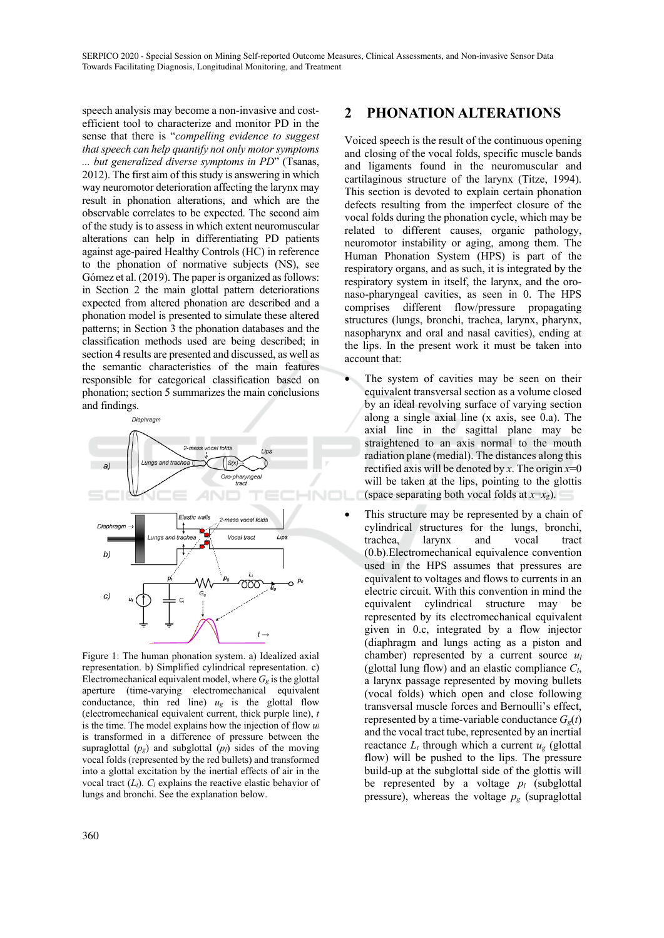speech analysis may become a non-invasive and costefficient tool to characterize and monitor PD in the sense that there is "*compelling evidence to suggest that speech can help quantify not only motor symptoms ... but generalized diverse symptoms in PD*" (Tsanas, 2012). The first aim of this study is answering in which way neuromotor deterioration affecting the larynx may result in phonation alterations, and which are the observable correlates to be expected. The second aim of the study is to assess in which extent neuromuscular alterations can help in differentiating PD patients against age-paired Healthy Controls (HC) in reference to the phonation of normative subjects (NS), see Gómez et al. (2019). The paper is organized as follows: in Section 2 the main glottal pattern deteriorations expected from altered phonation are described and a phonation model is presented to simulate these altered patterns; in Section 3 the phonation databases and the classification methods used are being described; in section 4 results are presented and discussed, as well as the semantic characteristics of the main features responsible for categorical classification based on phonation; section 5 summarizes the main conclusions and findings.



Figure 1: The human phonation system. a) Idealized axial representation. b) Simplified cylindrical representation. c) Electromechanical equivalent model, where  $G_{g}$  is the glottal aperture (time-varying electromechanical equivalent conductance, thin red line)  $u_g$  is the glottal flow (electromechanical equivalent current, thick purple line), *t*  is the time. The model explains how the injection of flow *ul* is transformed in a difference of pressure between the supraglottal  $(p_g)$  and subglottal  $(p_l)$  sides of the moving vocal folds (represented by the red bullets) and transformed into a glottal excitation by the inertial effects of air in the vocal tract  $(L_t)$ .  $C_l$  explains the reactive elastic behavior of lungs and bronchi. See the explanation below.

## **2 PHONATION ALTERATIONS**

Voiced speech is the result of the continuous opening and closing of the vocal folds, specific muscle bands and ligaments found in the neuromuscular and cartilaginous structure of the larynx (Titze, 1994). This section is devoted to explain certain phonation defects resulting from the imperfect closure of the vocal folds during the phonation cycle, which may be related to different causes, organic pathology, neuromotor instability or aging, among them. The Human Phonation System (HPS) is part of the respiratory organs, and as such, it is integrated by the respiratory system in itself, the larynx, and the oronaso-pharyngeal cavities, as seen in 0. The HPS comprises different flow/pressure propagating structures (lungs, bronchi, trachea, larynx, pharynx, nasopharynx and oral and nasal cavities), ending at the lips. In the present work it must be taken into account that:

- The system of cavities may be seen on their equivalent transversal section as a volume closed by an ideal revolving surface of varying section along a single axial line (x axis, see 0.a). The axial line in the sagittal plane may be straightened to an axis normal to the mouth radiation plane (medial). The distances along this rectified axis will be denoted by x. The origin  $x=0$ will be taken at the lips, pointing to the glottis (space separating both vocal folds at  $x=x_g$ ).
- This structure may be represented by a chain of cylindrical structures for the lungs, bronchi, trachea, larynx and vocal tract (0.b).Electromechanical equivalence convention used in the HPS assumes that pressures are equivalent to voltages and flows to currents in an electric circuit. With this convention in mind the equivalent cylindrical structure may be represented by its electromechanical equivalent given in 0.c, integrated by a flow injector (diaphragm and lungs acting as a piston and chamber) represented by a current source *ul* (glottal lung flow) and an elastic compliance *Cl*, a larynx passage represented by moving bullets (vocal folds) which open and close following transversal muscle forces and Bernoulli's effect, represented by a time-variable conductance  $G_g(t)$ and the vocal tract tube, represented by an inertial reactance  $L_t$  through which a current  $u_g$  (glottal flow) will be pushed to the lips. The pressure build-up at the subglottal side of the glottis will be represented by a voltage *pl* (subglottal pressure), whereas the voltage  $p_g$  (supraglottal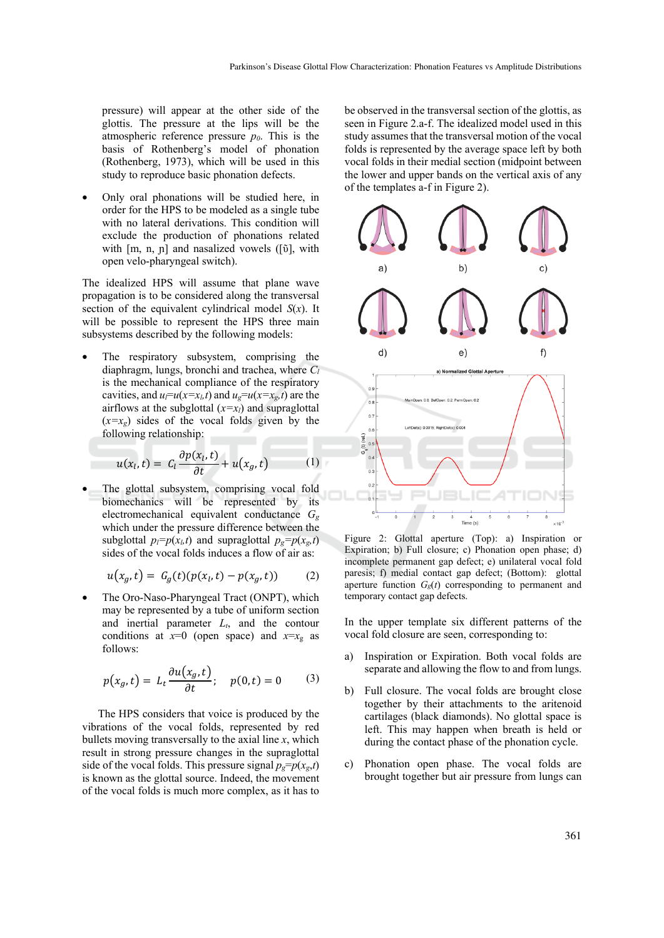pressure) will appear at the other side of the glottis. The pressure at the lips will be the atmospheric reference pressure  $p<sub>0</sub>$ . This is the basis of Rothenberg's model of phonation (Rothenberg, 1973), which will be used in this study to reproduce basic phonation defects.

• Only oral phonations will be studied here, in order for the HPS to be modeled as a single tube with no lateral derivations. This condition will exclude the production of phonations related with [m, n, ɲ] and nasalized vowels ([ῦ], with open velo-pharyngeal switch).

The idealized HPS will assume that plane wave propagation is to be considered along the transversal section of the equivalent cylindrical model *S*(*x*). It will be possible to represent the HPS three main subsystems described by the following models:

The respiratory subsystem, comprising the diaphragm, lungs, bronchi and trachea, where *Cl* is the mechanical compliance of the respiratory cavities, and  $u_l = u(x=x_l,t)$  and  $u_g = u(x=x_g,t)$  are the airflows at the subglottal  $(x=x_i)$  and supraglottal  $(x=x_g)$  sides of the vocal folds given by the following relationship:

$$
u(x_l, t) = C_l \frac{\partial p(x_l, t)}{\partial t} + u(x_g, t) \tag{1}
$$

The glottal subsystem, comprising vocal fold biomechanics will be represented by its electromechanical equivalent conductance *Gg* which under the pressure difference between the subglottal  $p_l=p(x_l,t)$  and supraglottal  $p_g=p(x_g,t)$ sides of the vocal folds induces a flow of air as:

$$
u(x_g, t) = G_g(t)(p(x_l, t) - p(x_g, t))
$$
 (2)

• The Oro-Naso-Pharyngeal Tract (ONPT), which may be represented by a tube of uniform section and inertial parameter  $L_t$ , and the contour conditions at  $x=0$  (open space) and  $x=x<sub>g</sub>$  as follows:

$$
p(x_g, t) = L_t \frac{\partial u(x_g, t)}{\partial t}; \quad p(0, t) = 0 \quad (3)
$$

The HPS considers that voice is produced by the vibrations of the vocal folds, represented by red bullets moving transversally to the axial line *x*, which result in strong pressure changes in the supraglottal side of the vocal folds. This pressure signal  $p_g = p(x_g,t)$ is known as the glottal source. Indeed, the movement of the vocal folds is much more complex, as it has to

be observed in the transversal section of the glottis, as seen in Figure 2.a-f. The idealized model used in this study assumes that the transversal motion of the vocal folds is represented by the average space left by both vocal folds in their medial section (midpoint between the lower and upper bands on the vertical axis of any of the templates a-f in Figure 2).



Figure 2: Glottal aperture (Top): a) Inspiration or Expiration; b) Full closure; c) Phonation open phase; d) incomplete permanent gap defect; e) unilateral vocal fold paresis; f) medial contact gap defect; (Bottom): glottal aperture function  $G_g(t)$  corresponding to permanent and temporary contact gap defects.

In the upper template six different patterns of the vocal fold closure are seen, corresponding to:

- a) Inspiration or Expiration. Both vocal folds are separate and allowing the flow to and from lungs.
- b) Full closure. The vocal folds are brought close together by their attachments to the aritenoid cartilages (black diamonds). No glottal space is left. This may happen when breath is held or during the contact phase of the phonation cycle.
- c) Phonation open phase. The vocal folds are brought together but air pressure from lungs can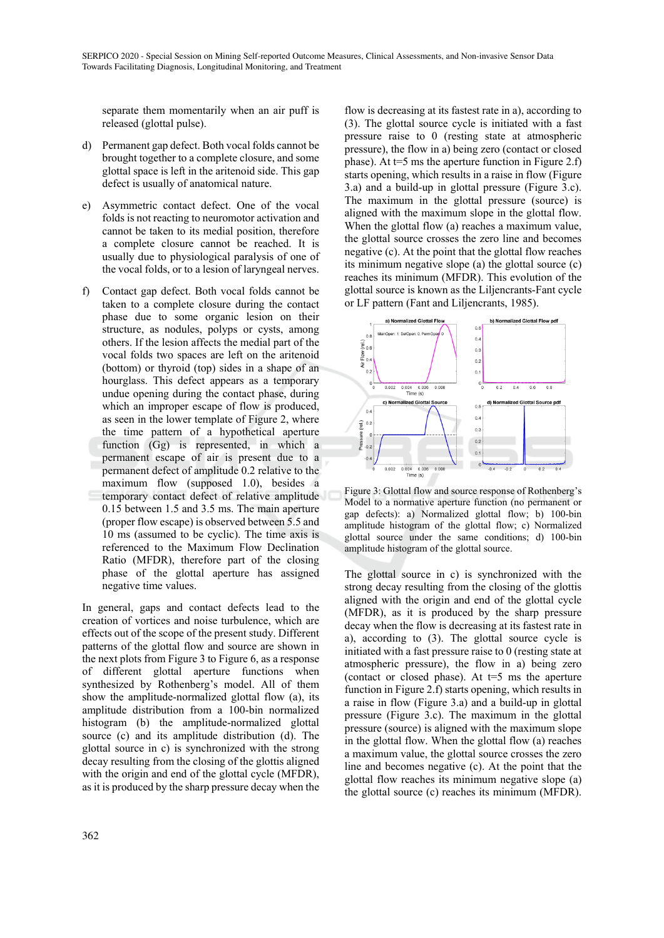separate them momentarily when an air puff is released (glottal pulse).

- d) Permanent gap defect. Both vocal folds cannot be brought together to a complete closure, and some glottal space is left in the aritenoid side. This gap defect is usually of anatomical nature.
- e) Asymmetric contact defect. One of the vocal folds is not reacting to neuromotor activation and cannot be taken to its medial position, therefore a complete closure cannot be reached. It is usually due to physiological paralysis of one of the vocal folds, or to a lesion of laryngeal nerves.
- f) Contact gap defect. Both vocal folds cannot be taken to a complete closure during the contact phase due to some organic lesion on their structure, as nodules, polyps or cysts, among others. If the lesion affects the medial part of the vocal folds two spaces are left on the aritenoid (bottom) or thyroid (top) sides in a shape of an hourglass. This defect appears as a temporary undue opening during the contact phase, during which an improper escape of flow is produced, as seen in the lower template of Figure 2, where the time pattern of a hypothetical aperture function (Gg) is represented, in which a permanent escape of air is present due to a permanent defect of amplitude 0.2 relative to the maximum flow (supposed 1.0), besides a temporary contact defect of relative amplitude 0.15 between 1.5 and 3.5 ms. The main aperture (proper flow escape) is observed between 5.5 and 10 ms (assumed to be cyclic). The time axis is referenced to the Maximum Flow Declination Ratio (MFDR), therefore part of the closing phase of the glottal aperture has assigned negative time values.

In general, gaps and contact defects lead to the creation of vortices and noise turbulence, which are effects out of the scope of the present study. Different patterns of the glottal flow and source are shown in the next plots from Figure 3 to Figure 6, as a response of different glottal aperture functions when synthesized by Rothenberg's model. All of them show the amplitude-normalized glottal flow (a), its amplitude distribution from a 100-bin normalized histogram (b) the amplitude-normalized glottal source (c) and its amplitude distribution (d). The glottal source in c) is synchronized with the strong decay resulting from the closing of the glottis aligned with the origin and end of the glottal cycle (MFDR), as it is produced by the sharp pressure decay when the

flow is decreasing at its fastest rate in a), according to (3). The glottal source cycle is initiated with a fast pressure raise to 0 (resting state at atmospheric pressure), the flow in a) being zero (contact or closed phase). At  $t=5$  ms the aperture function in Figure 2.f) starts opening, which results in a raise in flow (Figure 3.a) and a build-up in glottal pressure (Figure 3.c). The maximum in the glottal pressure (source) is aligned with the maximum slope in the glottal flow. When the glottal flow (a) reaches a maximum value, the glottal source crosses the zero line and becomes negative (c). At the point that the glottal flow reaches its minimum negative slope (a) the glottal source (c) reaches its minimum (MFDR). This evolution of the glottal source is known as the Liljencrants-Fant cycle or LF pattern (Fant and Liljencrants, 1985).



Figure 3: Glottal flow and source response of Rothenberg's Model to a normative aperture function (no permanent or gap defects): a) Normalized glottal flow; b) 100-bin amplitude histogram of the glottal flow; c) Normalized glottal source under the same conditions; d) 100-bin amplitude histogram of the glottal source.

The glottal source in c) is synchronized with the strong decay resulting from the closing of the glottis aligned with the origin and end of the glottal cycle (MFDR), as it is produced by the sharp pressure decay when the flow is decreasing at its fastest rate in a), according to (3). The glottal source cycle is initiated with a fast pressure raise to 0 (resting state at atmospheric pressure), the flow in a) being zero (contact or closed phase). At  $t=5$  ms the aperture function in Figure 2.f) starts opening, which results in a raise in flow (Figure 3.a) and a build-up in glottal pressure (Figure 3.c). The maximum in the glottal pressure (source) is aligned with the maximum slope in the glottal flow. When the glottal flow (a) reaches a maximum value, the glottal source crosses the zero line and becomes negative (c). At the point that the glottal flow reaches its minimum negative slope (a) the glottal source (c) reaches its minimum (MFDR).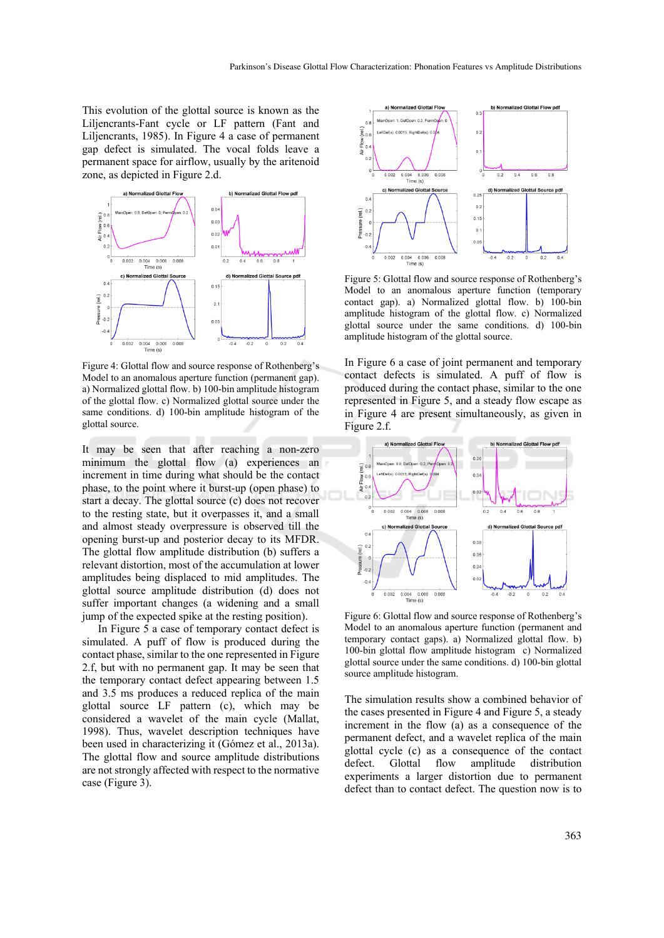This evolution of the glottal source is known as the Liljencrants-Fant cycle or LF pattern (Fant and Liljencrants, 1985). In Figure 4 a case of permanent gap defect is simulated. The vocal folds leave a permanent space for airflow, usually by the aritenoid zone, as depicted in Figure 2.d.



Figure 4: Glottal flow and source response of Rothenberg's Model to an anomalous aperture function (permanent gap). a) Normalized glottal flow. b) 100-bin amplitude histogram of the glottal flow. c) Normalized glottal source under the same conditions. d) 100-bin amplitude histogram of the glottal source.

It may be seen that after reaching a non-zero minimum the glottal flow (a) experiences an increment in time during what should be the contact phase, to the point where it burst-up (open phase) to start a decay. The glottal source (c) does not recover to the resting state, but it overpasses it, and a small and almost steady overpressure is observed till the opening burst-up and posterior decay to its MFDR. The glottal flow amplitude distribution (b) suffers a relevant distortion, most of the accumulation at lower amplitudes being displaced to mid amplitudes. The glottal source amplitude distribution (d) does not suffer important changes (a widening and a small jump of the expected spike at the resting position).

In Figure 5 a case of temporary contact defect is simulated. A puff of flow is produced during the contact phase, similar to the one represented in Figure 2.f, but with no permanent gap. It may be seen that the temporary contact defect appearing between 1.5 and 3.5 ms produces a reduced replica of the main glottal source LF pattern (c), which may be considered a wavelet of the main cycle (Mallat, 1998). Thus, wavelet description techniques have been used in characterizing it (Gómez et al., 2013a). The glottal flow and source amplitude distributions are not strongly affected with respect to the normative case (Figure 3).



Figure 5: Glottal flow and source response of Rothenberg's Model to an anomalous aperture function (temporary contact gap). a) Normalized glottal flow. b) 100-bin amplitude histogram of the glottal flow. c) Normalized glottal source under the same conditions. d) 100-bin amplitude histogram of the glottal source.

In Figure 6 a case of joint permanent and temporary contact defects is simulated. A puff of flow is produced during the contact phase, similar to the one represented in Figure 5, and a steady flow escape as in Figure 4 are present simultaneously, as given in Figure 2.f.



Figure 6: Glottal flow and source response of Rothenberg's Model to an anomalous aperture function (permanent and temporary contact gaps). a) Normalized glottal flow. b) 100-bin glottal flow amplitude histogram c) Normalized glottal source under the same conditions. d) 100-bin glottal source amplitude histogram.

The simulation results show a combined behavior of the cases presented in Figure 4 and Figure 5, a steady increment in the flow (a) as a consequence of the permanent defect, and a wavelet replica of the main glottal cycle (c) as a consequence of the contact defect. Glottal flow amplitude distribution experiments a larger distortion due to permanent defect than to contact defect. The question now is to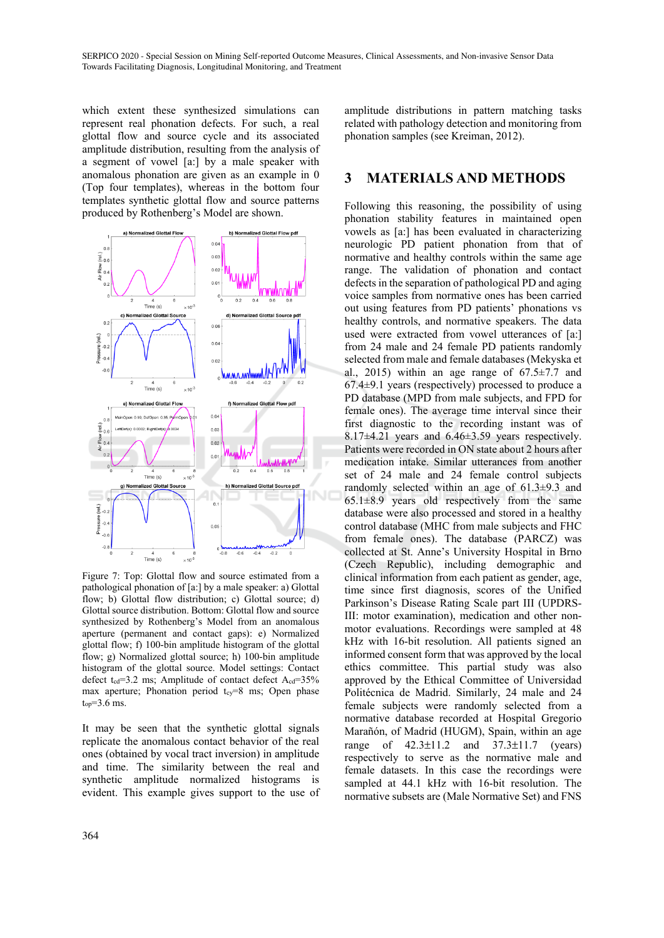which extent these synthesized simulations can represent real phonation defects. For such, a real glottal flow and source cycle and its associated amplitude distribution, resulting from the analysis of a segment of vowel [a:] by a male speaker with anomalous phonation are given as an example in 0 (Top four templates), whereas in the bottom four templates synthetic glottal flow and source patterns produced by Rothenberg's Model are shown.



Figure 7: Top: Glottal flow and source estimated from a pathological phonation of [a:] by a male speaker: a) Glottal flow; b) Glottal flow distribution; c) Glottal source; d) Glottal source distribution. Bottom: Glottal flow and source synthesized by Rothenberg's Model from an anomalous aperture (permanent and contact gaps): e) Normalized glottal flow; f) 100-bin amplitude histogram of the glottal flow; g) Normalized glottal source; h) 100-bin amplitude histogram of the glottal source. Model settings: Contact defect  $t_{cd}=3.2$  ms; Amplitude of contact defect  $A_{cd}=35\%$ max aperture; Phonation period tcy=8 ms; Open phase  $t_{op} = 3.6$  ms.

It may be seen that the synthetic glottal signals replicate the anomalous contact behavior of the real ones (obtained by vocal tract inversion) in amplitude and time. The similarity between the real and synthetic amplitude normalized histograms is evident. This example gives support to the use of

amplitude distributions in pattern matching tasks related with pathology detection and monitoring from phonation samples (see Kreiman, 2012).

### **3 MATERIALS AND METHODS**

Following this reasoning, the possibility of using phonation stability features in maintained open vowels as [a:] has been evaluated in characterizing neurologic PD patient phonation from that of normative and healthy controls within the same age range. The validation of phonation and contact defects in the separation of pathological PD and aging voice samples from normative ones has been carried out using features from PD patients' phonations vs healthy controls, and normative speakers. The data used were extracted from vowel utterances of [a:] from 24 male and 24 female PD patients randomly selected from male and female databases (Mekyska et al., 2015) within an age range of  $67.5 \pm 7.7$  and 67.4±9.1 years (respectively) processed to produce a PD database (MPD from male subjects, and FPD for female ones). The average time interval since their first diagnostic to the recording instant was of 8.17±4.21 years and 6.46±3.59 years respectively. Patients were recorded in ON state about 2 hours after medication intake. Similar utterances from another set of 24 male and 24 female control subjects randomly selected within an age of 61.3±9.3 and  $65.1\pm8.9$  years old respectively from the same database were also processed and stored in a healthy control database (MHC from male subjects and FHC from female ones). The database (PARCZ) was collected at St. Anne's University Hospital in Brno (Czech Republic), including demographic and clinical information from each patient as gender, age, time since first diagnosis, scores of the Unified Parkinson's Disease Rating Scale part III (UPDRS-III: motor examination), medication and other nonmotor evaluations. Recordings were sampled at 48 kHz with 16-bit resolution. All patients signed an informed consent form that was approved by the local ethics committee. This partial study was also approved by the Ethical Committee of Universidad Politécnica de Madrid. Similarly, 24 male and 24 female subjects were randomly selected from a normative database recorded at Hospital Gregorio Marañón, of Madrid (HUGM), Spain, within an age range of 42.3±11.2 and 37.3±11.7 (years) respectively to serve as the normative male and female datasets. In this case the recordings were sampled at 44.1 kHz with 16-bit resolution. The normative subsets are (Male Normative Set) and FNS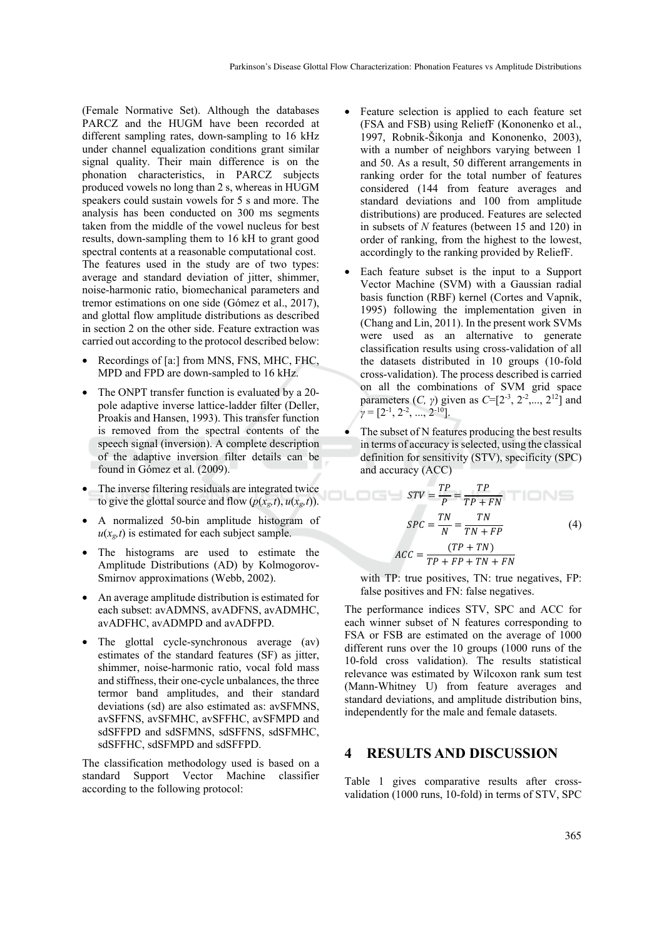(Female Normative Set). Although the databases PARCZ and the HUGM have been recorded at different sampling rates, down-sampling to 16 kHz under channel equalization conditions grant similar signal quality. Their main difference is on the phonation characteristics, in PARCZ subjects produced vowels no long than 2 s, whereas in HUGM speakers could sustain vowels for 5 s and more. The analysis has been conducted on 300 ms segments taken from the middle of the vowel nucleus for best results, down-sampling them to 16 kH to grant good spectral contents at a reasonable computational cost. The features used in the study are of two types: average and standard deviation of jitter, shimmer, noise-harmonic ratio, biomechanical parameters and tremor estimations on one side (Gómez et al., 2017), and glottal flow amplitude distributions as described in section 2 on the other side. Feature extraction was carried out according to the protocol described below:

- Recordings of [a:] from MNS, FNS, MHC, FHC, MPD and FPD are down-sampled to 16 kHz.
- The ONPT transfer function is evaluated by a 20pole adaptive inverse lattice-ladder filter (Deller, Proakis and Hansen, 1993). This transfer function is removed from the spectral contents of the speech signal (inversion). A complete description of the adaptive inversion filter details can be found in Gómez et al. (2009).
- The inverse filtering residuals are integrated twice to give the glottal source and flow  $(p(x_g, t), u(x_g, t))$ .
- A normalized 50-bin amplitude histogram of  $u(x_g,t)$  is estimated for each subject sample.
- The histograms are used to estimate the Amplitude Distributions (AD) by Kolmogorov-Smirnov approximations (Webb, 2002).
- An average amplitude distribution is estimated for each subset: avADMNS, avADFNS, avADMHC, avADFHC, avADMPD and avADFPD.
- The glottal cycle-synchronous average (av) estimates of the standard features (SF) as jitter, shimmer, noise-harmonic ratio, vocal fold mass and stiffness, their one-cycle unbalances, the three termor band amplitudes, and their standard deviations (sd) are also estimated as: avSFMNS, avSFFNS, avSFMHC, avSFFHC, avSFMPD and sdSFFPD and sdSFMNS, sdSFFNS, sdSFMHC, sdSFFHC, sdSFMPD and sdSFFPD.

The classification methodology used is based on a standard Support Vector Machine classifier according to the following protocol:

- Feature selection is applied to each feature set (FSA and FSB) using ReliefF (Kononenko et al., 1997, Robnik-Šikonja and Kononenko, 2003), with a number of neighbors varying between 1 and 50. As a result, 50 different arrangements in ranking order for the total number of features considered (144 from feature averages and standard deviations and 100 from amplitude distributions) are produced. Features are selected in subsets of *N* features (between 15 and 120) in order of ranking, from the highest to the lowest, accordingly to the ranking provided by ReliefF.
- Each feature subset is the input to a Support Vector Machine (SVM) with a Gaussian radial basis function (RBF) kernel (Cortes and Vapnik, 1995) following the implementation given in (Chang and Lin, 2011). In the present work SVMs were used as an alternative to generate classification results using cross-validation of all the datasets distributed in 10 groups (10-fold cross-validation). The process described is carried on all the combinations of SVM grid space parameters  $(C, \gamma)$  given as  $C=[2^{-3}, 2^{-2}, \dots, 2^{12}]$  and  $\gamma = [2^{-1}, 2^{-2}, ..., 2^{-10}].$
- The subset of N features producing the best results in terms of accuracy is selected, using the classical definition for sensitivity (STV), specificity (SPC) and accuracy (ACC)

$$
STV = \frac{TP}{P} = \frac{TP}{TP + FN}
$$

$$
SPC = \frac{TN}{N} = \frac{TN}{TN + FP}
$$
(4)
$$
ACC = \frac{(TP + TN)}{TP + FP + TN + FN}
$$

with TP: true positives, TN: true negatives, FP: false positives and FN: false negatives.

The performance indices STV, SPC and ACC for each winner subset of N features corresponding to FSA or FSB are estimated on the average of 1000 different runs over the 10 groups (1000 runs of the 10-fold cross validation). The results statistical relevance was estimated by Wilcoxon rank sum test (Mann-Whitney U) from feature averages and standard deviations, and amplitude distribution bins, independently for the male and female datasets.

#### **4 RESULTS AND DISCUSSION**

Table 1 gives comparative results after crossvalidation (1000 runs, 10-fold) in terms of STV, SPC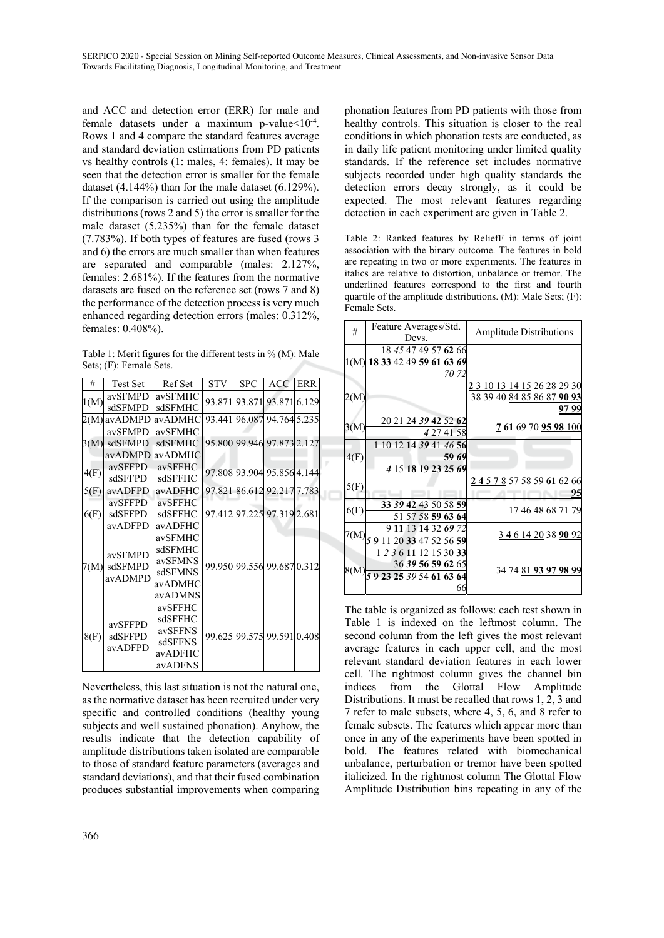and ACC and detection error (ERR) for male and female datasets under a maximum p-value $<10^{-4}$ . Rows 1 and 4 compare the standard features average and standard deviation estimations from PD patients vs healthy controls (1: males, 4: females). It may be seen that the detection error is smaller for the female dataset (4.144%) than for the male dataset (6.129%). If the comparison is carried out using the amplitude distributions (rows 2 and 5) the error is smaller for the male dataset (5.235%) than for the female dataset (7.783%). If both types of features are fused (rows 3 and 6) the errors are much smaller than when features are separated and comparable (males: 2.127%, females: 2.681%). If the features from the normative datasets are fused on the reference set (rows 7 and 8) the performance of the detection process is very much enhanced regarding detection errors (males: 0.312%, females: 0.408%).

Table 1: Merit figures for the different tests in % (M): Male Sets; (F): Female Sets.

| #    | <b>Test Set</b>               | Ref Set | <b>STV</b> | <b>SPC</b>                 | <b>ACC</b>                 | <b>ERR</b> |
|------|-------------------------------|---------|------------|----------------------------|----------------------------|------------|
| 1(M) | avSFMPD                       | avSFMHC |            | 93.871 93.871              | 93.871 6.129               |            |
|      | sdSFMPD                       | sdSFMHC |            |                            |                            |            |
| 2(M) | avADMPD                       | avADMHC |            |                            | 93.441 96.087 94.764 5.235 |            |
|      | avSFMPD                       | avSFMHC |            |                            | 95.800 99.946 97.873 2.127 |            |
|      | 3(M) sdSFMPD                  | sdSFMHC |            |                            |                            |            |
|      | avADMPD                       | avADMHC |            |                            |                            |            |
| 4(F) | avSFFPD                       | avSFFHC |            | 97.808 93.904 95.856 4.144 |                            |            |
|      | sdSFFPD                       | sdSFFHC |            |                            |                            |            |
| 5(F) | avADFPD                       | avADFHC |            |                            | 97.821 86.612 92.217 7.783 |            |
| 6(F) | avSFFPD                       | avSFFHC |            |                            |                            |            |
|      | sdSFFPD                       | sdSFFHC |            |                            | 97.412 97.225 97.319 2.681 |            |
|      | avADFPD                       | avADFHC |            |                            |                            |            |
| 7(M) | avSFMPD<br>sdSFMPD<br>avADMPD | avSFMHC |            | 99.950 99.556 99.687 0.312 |                            |            |
|      |                               | sdSFMHC |            |                            |                            |            |
|      |                               | avSFMNS |            |                            |                            |            |
|      |                               | sdSFMNS |            |                            |                            |            |
|      |                               | avADMHC |            |                            |                            |            |
|      |                               | avADMNS |            |                            |                            |            |
| 8(F) | avSFFPD<br>sdSFFPD<br>avADFPD | avSFFHC |            |                            |                            |            |
|      |                               | sdSFFHC |            |                            | 99.625 99.575 99.591 0.408 |            |
|      |                               | avSFFNS |            |                            |                            |            |
|      |                               | sdSFFNS |            |                            |                            |            |
|      |                               | avADFHC |            |                            |                            |            |
|      |                               | avADFNS |            |                            |                            |            |

Nevertheless, this last situation is not the natural one, as the normative dataset has been recruited under very specific and controlled conditions (healthy young subjects and well sustained phonation). Anyhow, the results indicate that the detection capability of amplitude distributions taken isolated are comparable to those of standard feature parameters (averages and standard deviations), and that their fused combination produces substantial improvements when comparing phonation features from PD patients with those from healthy controls. This situation is closer to the real conditions in which phonation tests are conducted, as in daily life patient monitoring under limited quality standards. If the reference set includes normative subjects recorded under high quality standards the detection errors decay strongly, as it could be expected. The most relevant features regarding detection in each experiment are given in Table 2.

Table 2: Ranked features by ReliefF in terms of joint association with the binary outcome. The features in bold are repeating in two or more experiments. The features in italics are relative to distortion, unbalance or tremor. The underlined features correspond to the first and fourth quartile of the amplitude distributions. (M): Male Sets; (F): Female Sets.

| #    | Feature Averages/Std.<br>Devs.                                               | <b>Amplitude Distributions</b>                            |
|------|------------------------------------------------------------------------------|-----------------------------------------------------------|
|      | 18 45 47 49 57 62 66<br>1(M) 18 33 42 49 59 61 63 69<br>70 72                |                                                           |
| 2(M) |                                                                              | 2 3 10 13 14 15 26 28 29 30<br>38 39 40 84 85 86 87 90 93 |
| 3(M) | 20 21 24 39 42 52 62<br>4 27 41 58                                           | 97 99<br>7 61 69 70 95 98 100                             |
| 4(F) | 1 10 12 14 39 41 46 56<br>59 69<br>4 15 18 19 23 25 69                       |                                                           |
| 5(F) |                                                                              | 2 4 5 7 8 57 58 59 61 62 66<br>95                         |
| 6(F) | 33 39 42 43 50 58 59<br>51 57 58 59 63 64                                    | 17 46 48 68 71 79                                         |
|      | 9 11 13 14 32 69 72<br>$7(M)$ $5911$<br>20 33 47 52 56 59                    | <u>3461420389092</u>                                      |
| 8(M) | 1 2 3 6 11 12 15 30 33<br>36 39 56 59 62 65<br>59 23 25 39 54 61 63 64<br>66 | 34 74 81 93 97 98 99                                      |

The table is organized as follows: each test shown in Table 1 is indexed on the leftmost column. The second column from the left gives the most relevant average features in each upper cell, and the most relevant standard deviation features in each lower cell. The rightmost column gives the channel bin indices from the Glottal Flow Amplitude Distributions. It must be recalled that rows 1, 2, 3 and 7 refer to male subsets, where 4, 5, 6, and 8 refer to female subsets. The features which appear more than once in any of the experiments have been spotted in bold. The features related with biomechanical unbalance, perturbation or tremor have been spotted italicized. In the rightmost column The Glottal Flow Amplitude Distribution bins repeating in any of the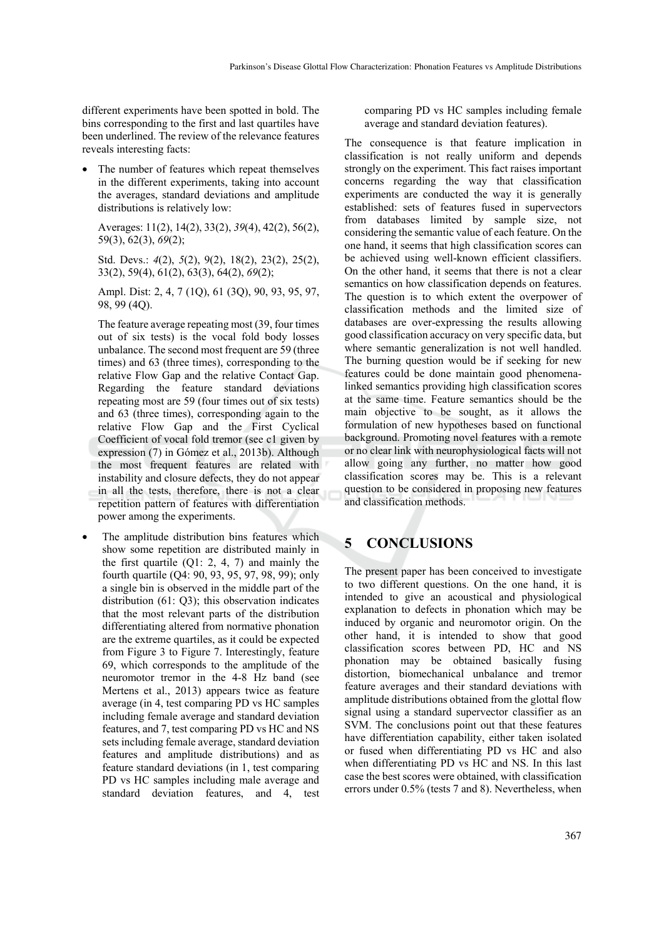different experiments have been spotted in bold. The bins corresponding to the first and last quartiles have been underlined. The review of the relevance features reveals interesting facts:

• The number of features which repeat themselves in the different experiments, taking into account the averages, standard deviations and amplitude distributions is relatively low:

Averages: 11(2), 14(2), 33(2), *39*(4), 42(2), 56(2), 59(3), 62(3), *69*(2);

Std. Devs.: *4*(2), *5*(2), 9(2), 18(2), 23(2), 25(2), 33(2), 59(4), 61(2), 63(3), 64(2), *69*(2);

Ampl. Dist: 2, 4, 7 (1Q), 61 (3Q), 90, 93, 95, 97, 98, 99 (4Q).

The feature average repeating most (39, four times out of six tests) is the vocal fold body losses unbalance. The second most frequent are 59 (three times) and 63 (three times), corresponding to the relative Flow Gap and the relative Contact Gap. Regarding the feature standard deviations repeating most are 59 (four times out of six tests) and 63 (three times), corresponding again to the relative Flow Gap and the First Cyclical Coefficient of vocal fold tremor (see c1 given by expression (7) in Gómez et al., 2013b). Although the most frequent features are related with instability and closure defects, they do not appear in all the tests, therefore, there is not a clear repetition pattern of features with differentiation power among the experiments.

The amplitude distribution bins features which show some repetition are distributed mainly in the first quartile (Q1: 2, 4, 7) and mainly the fourth quartile (Q4: 90, 93, 95, 97, 98, 99); only a single bin is observed in the middle part of the distribution (61: Q3); this observation indicates that the most relevant parts of the distribution differentiating altered from normative phonation are the extreme quartiles, as it could be expected from Figure 3 to Figure 7. Interestingly, feature 69, which corresponds to the amplitude of the neuromotor tremor in the 4-8 Hz band (see Mertens et al., 2013) appears twice as feature average (in 4, test comparing PD vs HC samples including female average and standard deviation features, and 7, test comparing PD vs HC and NS sets including female average, standard deviation features and amplitude distributions) and as feature standard deviations (in 1, test comparing PD vs HC samples including male average and standard deviation features, and 4, test comparing PD vs HC samples including female average and standard deviation features).

The consequence is that feature implication in classification is not really uniform and depends strongly on the experiment. This fact raises important concerns regarding the way that classification experiments are conducted the way it is generally established: sets of features fused in supervectors from databases limited by sample size, not considering the semantic value of each feature. On the one hand, it seems that high classification scores can be achieved using well-known efficient classifiers. On the other hand, it seems that there is not a clear semantics on how classification depends on features. The question is to which extent the overpower of classification methods and the limited size of databases are over-expressing the results allowing good classification accuracy on very specific data, but where semantic generalization is not well handled. The burning question would be if seeking for new features could be done maintain good phenomenalinked semantics providing high classification scores at the same time. Feature semantics should be the main objective to be sought, as it allows the formulation of new hypotheses based on functional background. Promoting novel features with a remote or no clear link with neurophysiological facts will not allow going any further, no matter how good classification scores may be. This is a relevant question to be considered in proposing new features and classification methods.

# **5 CONCLUSIONS**

The present paper has been conceived to investigate to two different questions. On the one hand, it is intended to give an acoustical and physiological explanation to defects in phonation which may be induced by organic and neuromotor origin. On the other hand, it is intended to show that good classification scores between PD, HC and NS phonation may be obtained basically fusing distortion, biomechanical unbalance and tremor feature averages and their standard deviations with amplitude distributions obtained from the glottal flow signal using a standard supervector classifier as an SVM. The conclusions point out that these features have differentiation capability, either taken isolated or fused when differentiating PD vs HC and also when differentiating PD vs HC and NS. In this last case the best scores were obtained, with classification errors under 0.5% (tests 7 and 8). Nevertheless, when